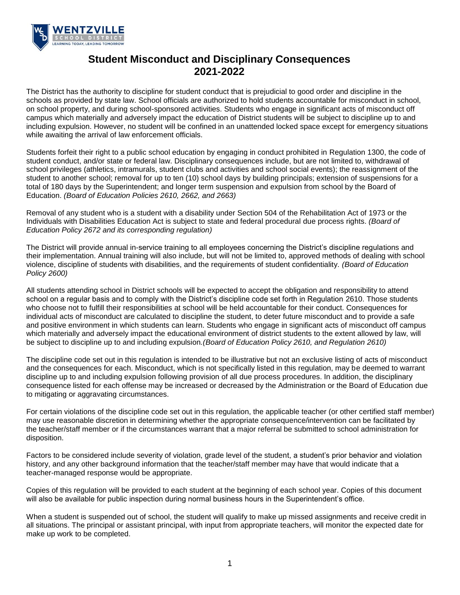

# **Student Misconduct and Disciplinary Consequences 2021-2022**

The District has the authority to discipline for student conduct that is prejudicial to good order and discipline in the schools as provided by state law. School officials are authorized to hold students accountable for misconduct in school, on school property, and during school-sponsored activities. Students who engage in significant acts of misconduct off campus which materially and adversely impact the education of District students will be subject to discipline up to and including expulsion. However, no student will be confined in an unattended locked space except for emergency situations while awaiting the arrival of law enforcement officials.

Students forfeit their right to a public school education by engaging in conduct prohibited in Regulation 1300, the code of student conduct, and/or state or federal law. Disciplinary consequences include, but are not limited to, withdrawal of school privileges (athletics, intramurals, student clubs and activities and school social events); the reassignment of the student to another school; removal for up to ten (10) school days by building principals; extension of suspensions for a total of 180 days by the Superintendent; and longer term suspension and expulsion from school by the Board of Education. *(Board of Education Policies 2610, 2662, and 2663)*

Removal of any student who is a student with a disability under Section 504 of the Rehabilitation Act of 1973 or the Individuals with Disabilities Education Act is subject to state and federal procedural due process rights. *(Board of Education Policy 2672 and its corresponding regulation)*

The District will provide annual in-service training to all employees concerning the District's discipline regulations and their implementation. Annual training will also include, but will not be limited to, approved methods of dealing with school violence, discipline of students with disabilities, and the requirements of student confidentiality. *(Board of Education Policy 2600)*

All students attending school in District schools will be expected to accept the obligation and responsibility to attend school on a regular basis and to comply with the District's discipline code set forth in Regulation 2610. Those students who choose not to fulfill their responsibilities at school will be held accountable for their conduct. Consequences for individual acts of misconduct are calculated to discipline the student, to deter future misconduct and to provide a safe and positive environment in which students can learn. Students who engage in significant acts of misconduct off campus which materially and adversely impact the educational environment of district students to the extent allowed by law, will be subject to discipline up to and including expulsion*.(Board of Education Policy 2610, and Regulation 2610)*

The discipline code set out in this regulation is intended to be illustrative but not an exclusive listing of acts of misconduct and the consequences for each. Misconduct, which is not specifically listed in this regulation, may be deemed to warrant discipline up to and including expulsion following provision of all due process procedures. In addition, the disciplinary consequence listed for each offense may be increased or decreased by the Administration or the Board of Education due to mitigating or aggravating circumstances.

For certain violations of the discipline code set out in this regulation, the applicable teacher (or other certified staff member) may use reasonable discretion in determining whether the appropriate consequence/intervention can be facilitated by the teacher/staff member or if the circumstances warrant that a major referral be submitted to school administration for disposition.

Factors to be considered include severity of violation, grade level of the student, a student's prior behavior and violation history, and any other background information that the teacher/staff member may have that would indicate that a teacher-managed response would be appropriate.

Copies of this regulation will be provided to each student at the beginning of each school year. Copies of this document will also be available for public inspection during normal business hours in the Superintendent's office.

When a student is suspended out of school, the student will qualify to make up missed assignments and receive credit in all situations. The principal or assistant principal, with input from appropriate teachers, will monitor the expected date for make up work to be completed.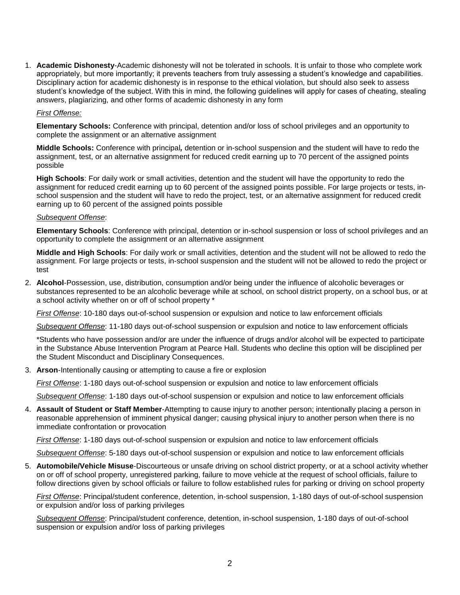1. **Academic Dishonesty**-Academic dishonesty will not be tolerated in schools. It is unfair to those who complete work appropriately, but more importantly; it prevents teachers from truly assessing a student's knowledge and capabilities. Disciplinary action for academic dishonesty is in response to the ethical violation, but should also seek to assess student's knowledge of the subject. With this in mind, the following guidelines will apply for cases of cheating, stealing answers, plagiarizing, and other forms of academic dishonesty in any form

#### *First Offense:*

**Elementary Schools:** Conference with principal, detention and/or loss of school privileges and an opportunity to complete the assignment or an alternative assignment

**Middle Schools:** Conference with principal*,* detention or in-school suspension and the student will have to redo the assignment, test, or an alternative assignment for reduced credit earning up to 70 percent of the assigned points possible

**High Schools**: For daily work or small activities, detention and the student will have the opportunity to redo the assignment for reduced credit earning up to 60 percent of the assigned points possible. For large projects or tests, inschool suspension and the student will have to redo the project, test, or an alternative assignment for reduced credit earning up to 60 percent of the assigned points possible

#### *Subsequent Offense*:

**Elementary Schools**: Conference with principal, detention or in-school suspension or loss of school privileges and an opportunity to complete the assignment or an alternative assignment

**Middle and High Schools**: For daily work or small activities, detention and the student will not be allowed to redo the assignment. For large projects or tests, in-school suspension and the student will not be allowed to redo the project or test

2. **Alcohol**-Possession, use, distribution, consumption and/or being under the influence of alcoholic beverages or substances represented to be an alcoholic beverage while at school, on school district property, on a school bus, or at a school activity whether on or off of school property \*

*First Offense*: 10-180 days out-of-school suspension or expulsion and notice to law enforcement officials

*Subsequent Offense*: 11-180 days out-of-school suspension or expulsion and notice to law enforcement officials

\*Students who have possession and/or are under the influence of drugs and/or alcohol will be expected to participate in the Substance Abuse Intervention Program at Pearce Hall. Students who decline this option will be disciplined per the Student Misconduct and Disciplinary Consequences.

3. **Arson**-Intentionally causing or attempting to cause a fire or explosion

*First Offense*: 1-180 days out-of-school suspension or expulsion and notice to law enforcement officials

*Subsequent Offense*: 1-180 days out-of-school suspension or expulsion and notice to law enforcement officials

4. **Assault of Student or Staff Member**-Attempting to cause injury to another person; intentionally placing a person in reasonable apprehension of imminent physical danger; causing physical injury to another person when there is no immediate confrontation or provocation

*First Offense*: 1-180 days out-of-school suspension or expulsion and notice to law enforcement officials

*Subsequent Offense*: 5-180 days out-of-school suspension or expulsion and notice to law enforcement officials

5. **Automobile/Vehicle Misuse**-Discourteous or unsafe driving on school district property, or at a school activity whether on or off of school property, unregistered parking, failure to move vehicle at the request of school officials, failure to follow directions given by school officials or failure to follow established rules for parking or driving on school property

*First Offense*: Principal/student conference, detention, in-school suspension, 1-180 days of out-of-school suspension or expulsion and/or loss of parking privileges

*Subsequent Offense*: Principal/student conference, detention, in-school suspension, 1-180 days of out-of-school suspension or expulsion and/or loss of parking privileges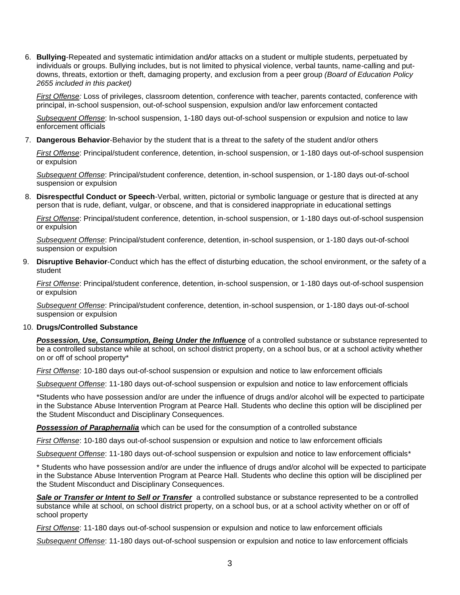6. **Bullying**-Repeated and systematic intimidation and*/*or attacks on a student or multiple students, perpetuated by individuals or groups. Bullying includes, but is not limited to physical violence, verbal taunts, name-calling and putdowns, threats, extortion or theft, damaging property, and exclusion from a peer group *(Board of Education Policy 2655 included in this packet)*

*First Offense:* Loss of privileges, classroom detention, conference with teacher, parents contacted, conference with principal, in-school suspension, out-of-school suspension, expulsion and/or law enforcement contacted

*Subsequent Offense*: In-school suspension, 1-180 days out-of-school suspension or expulsion and notice to law enforcement officials

7. **Dangerous Behavior**-Behavior by the student that is a threat to the safety of the student and/or others

*First Offense*: Principal/student conference, detention, in-school suspension, or 1-180 days out-of-school suspension or expulsion

*Subsequent Offense*: Principal/student conference, detention, in-school suspension, or 1-180 days out-of-school suspension or expulsion

8. **Disrespectful Conduct or Speech**-Verbal, written, pictorial or symbolic language or gesture that is directed at any person that is rude, defiant, vulgar, or obscene, and that is considered inappropriate in educational settings

*First Offense*: Principal/student conference, detention, in-school suspension, or 1-180 days out-of-school suspension or expulsion

*Subsequent Offense*: Principal/student conference, detention, in-school suspension, or 1-180 days out-of-school suspension or expulsion

9. **Disruptive Behavior**-Conduct which has the effect of disturbing education, the school environment, or the safety of a student

*First Offense*: Principal/student conference, detention, in-school suspension, or 1-180 days out-of-school suspension or expulsion

*Subsequent Offense*: Principal/student conference, detention, in-school suspension, or 1-180 days out-of-school suspension or expulsion

#### 10. **Drugs/Controlled Substance**

*Possession, Use, Consumption, Being Under the Influence* of a controlled substance or substance represented to be a controlled substance while at school, on school district property, on a school bus, or at a school activity whether on or off of school property\*

*First Offense*: 10-180 days out-of-school suspension or expulsion and notice to law enforcement officials

*Subsequent Offense*: 11-180 days out-of-school suspension or expulsion and notice to law enforcement officials

\*Students who have possession and/or are under the influence of drugs and/or alcohol will be expected to participate in the Substance Abuse Intervention Program at Pearce Hall. Students who decline this option will be disciplined per the Student Misconduct and Disciplinary Consequences.

*Possession of Paraphernalia* which can be used for the consumption of a controlled substance

*First Offense*: 10-180 days out-of-school suspension or expulsion and notice to law enforcement officials

*Subsequent Offense*: 11-180 days out-of-school suspension or expulsion and notice to law enforcement officials\*

\* Students who have possession and/or are under the influence of drugs and/or alcohol will be expected to participate in the Substance Abuse Intervention Program at Pearce Hall. Students who decline this option will be disciplined per the Student Misconduct and Disciplinary Consequences.

*Sale or Transfer or Intent to Sell or Transfer* a controlled substance or substance represented to be a controlled substance while at school, on school district property, on a school bus, or at a school activity whether on or off of school property

*First Offense*: 11-180 days out-of-school suspension or expulsion and notice to law enforcement officials

*Subsequent Offense*: 11-180 days out-of-school suspension or expulsion and notice to law enforcement officials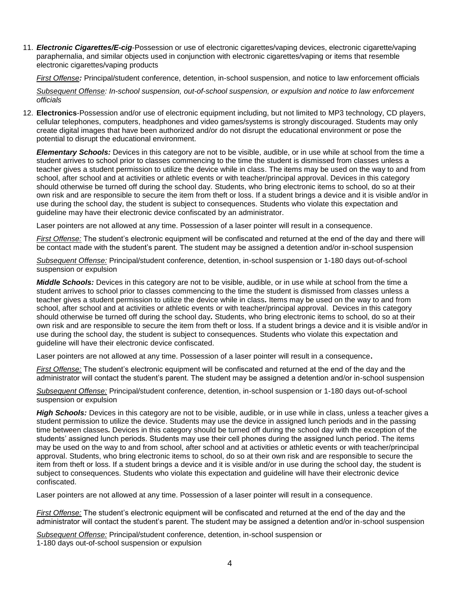11. *Electronic Cigarettes/E-cig*-Possession or use of electronic cigarettes/vaping devices, electronic cigarette/vaping paraphernalia, and similar objects used in conjunction with electronic cigarettes/vaping or items that resemble electronic cigarettes/vaping products

*First Offense:* Principal/student conference, detention, in-school suspension, and notice to law enforcement officials

*Subsequent Offense: In-school suspension, out-of-school suspension, or expulsion and notice to law enforcement officials*

12. **Electronics**-Possession and/or use of electronic equipment including, but not limited to MP3 technology, CD players, cellular telephones, computers, headphones and video games/systems is strongly discouraged. Students may only create digital images that have been authorized and/or do not disrupt the educational environment or pose the potential to disrupt the educational environment.

*Elementary Schools:* Devices in this category are not to be visible, audible, or in use while at school from the time a student arrives to school prior to classes commencing to the time the student is dismissed from classes unless a teacher gives a student permission to utilize the device while in class. The items may be used on the way to and from school, after school and at activities or athletic events or with teacher/principal approval. Devices in this category should otherwise be turned off during the school day. Students, who bring electronic items to school, do so at their own risk and are responsible to secure the item from theft or loss. If a student brings a device and it is visible and/or in use during the school day, the student is subject to consequences. Students who violate this expectation and guideline may have their electronic device confiscated by an administrator.

Laser pointers are not allowed at any time. Possession of a laser pointer will result in a consequence.

*First Offense:* The student's electronic equipment will be confiscated and returned at the end of the day and there will be contact made with the student's parent. The student may be assigned a detention and/or in-school suspension

*Subsequent Offense:* Principal/student conference, detention, in-school suspension or 1-180 days out-of-school suspension or expulsion

*Middle Schools:* Devices in this category are not to be visible, audible, or in use while at school from the time a student arrives to school prior to classes commencing to the time the student is dismissed from classes unless a teacher gives a student permission to utilize the device while in class*.* Items may be used on the way to and from school, after school and at activities or athletic events or with teacher/principal approval. Devices in this category should otherwise be turned off during the school day*.* Students, who bring electronic items to school, do so at their own risk and are responsible to secure the item from theft or loss. If a student brings a device and it is visible and/or in use during the school day, the student is subject to consequences. Students who violate this expectation and guideline will have their electronic device confiscated.

Laser pointers are not allowed at any time. Possession of a laser pointer will result in a consequence**.**

*First Offense:* The student's electronic equipment will be confiscated and returned at the end of the day and the administrator will contact the student's parent. The student may be assigned a detention and/or in-school suspension

*Subsequent Offense:* Principal/student conference, detention, in-school suspension or 1-180 days out-of-school suspension or expulsion

*High Schools:* Devices in this category are not to be visible, audible, or in use while in class, unless a teacher gives a student permission to utilize the device. Students may use the device in assigned lunch periods and in the passing time between classes*.* Devices in this category should be turned off during the school day with the exception of the students' assigned lunch periods. Students may use their cell phones during the assigned lunch period. The items may be used on the way to and from school, after school and at activities or athletic events or with teacher/principal approval. Students, who bring electronic items to school, do so at their own risk and are responsible to secure the item from theft or loss. If a student brings a device and it is visible and/or in use during the school day, the student is subject to consequences. Students who violate this expectation and guideline will have their electronic device confiscated.

Laser pointers are not allowed at any time. Possession of a laser pointer will result in a consequence.

*First Offense:* The student's electronic equipment will be confiscated and returned at the end of the day and the administrator will contact the student's parent. The student may be assigned a detention and/or in-school suspension

*Subsequent Offense:* Principal/student conference, detention, in-school suspension or 1-180 days out-of-school suspension or expulsion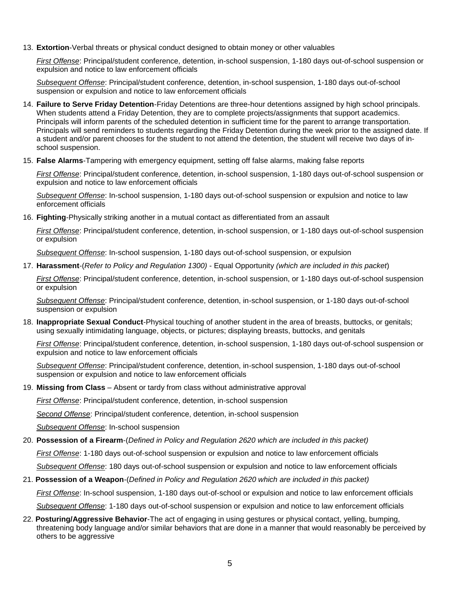13. **Extortion**-Verbal threats or physical conduct designed to obtain money or other valuables

*First Offense*: Principal/student conference, detention, in-school suspension, 1-180 days out-of-school suspension or expulsion and notice to law enforcement officials

*Subsequent Offense*: Principal/student conference, detention, in-school suspension, 1-180 days out-of-school suspension or expulsion and notice to law enforcement officials

- 14. **Failure to Serve Friday Detention**-Friday Detentions are three-hour detentions assigned by high school principals. When students attend a Friday Detention, they are to complete projects/assignments that support academics. Principals will inform parents of the scheduled detention in sufficient time for the parent to arrange transportation. Principals will send reminders to students regarding the Friday Detention during the week prior to the assigned date. If a student and/or parent chooses for the student to not attend the detention, the student will receive two days of inschool suspension.
- 15. **False Alarms**-Tampering with emergency equipment, setting off false alarms, making false reports

*First Offense*: Principal/student conference, detention, in-school suspension, 1-180 days out-of-school suspension or expulsion and notice to law enforcement officials

*Subsequent Offense*: In-school suspension, 1-180 days out-of-school suspension or expulsion and notice to law enforcement officials

16. **Fighting**-Physically striking another in a mutual contact as differentiated from an assault

*First Offense*: Principal/student conference, detention, in-school suspension, or 1-180 days out-of-school suspension or expulsion

*Subsequent Offense*: In-school suspension, 1-180 days out-of-school suspension, or expulsion

17. **Harassment**-(*Refer to Policy and Regulation 1300)* - Equal Opportunity *(which are included in this packet*)

*First Offense*: Principal/student conference, detention, in-school suspension, or 1-180 days out-of-school suspension or expulsion

*Subsequent Offense*: Principal/student conference, detention, in-school suspension, or 1-180 days out-of-school suspension or expulsion

18. **Inappropriate Sexual Conduct**-Physical touching of another student in the area of breasts, buttocks, or genitals; using sexually intimidating language, objects, or pictures; displaying breasts, buttocks, and genitals

*First Offense*: Principal/student conference, detention, in-school suspension, 1-180 days out-of-school suspension or expulsion and notice to law enforcement officials

*Subsequent Offense*: Principal/student conference, detention, in-school suspension, 1-180 days out-of-school suspension or expulsion and notice to law enforcement officials

19. **Missing from Class** – Absent or tardy from class without administrative approval

*First Offense*: Principal/student conference, detention, in-school suspension

*Second Offense*: Principal/student conference, detention, in-school suspension

*Subsequent Offense*: In-school suspension

#### 20. **Possession of a Firearm**-(*Defined in Policy and Regulation 2620 which are included in this packet)*

*First Offense*: 1-180 days out-of-school suspension or expulsion and notice to law enforcement officials

*Subsequent Offense*: 180 days out-of-school suspension or expulsion and notice to law enforcement officials

#### 21. **Possession of a Weapon**-(*Defined in Policy and Regulation 2620 which are included in this packet)*

*First Offense*: In-school suspension, 1-180 days out-of-school or expulsion and notice to law enforcement officials

*Subsequent Offense*: 1-180 days out-of-school suspension or expulsion and notice to law enforcement officials

22. **Posturing/Aggressive Behavior**-The act of engaging in using gestures or physical contact, yelling, bumping, threatening body language and/or similar behaviors that are done in a manner that would reasonably be perceived by others to be aggressive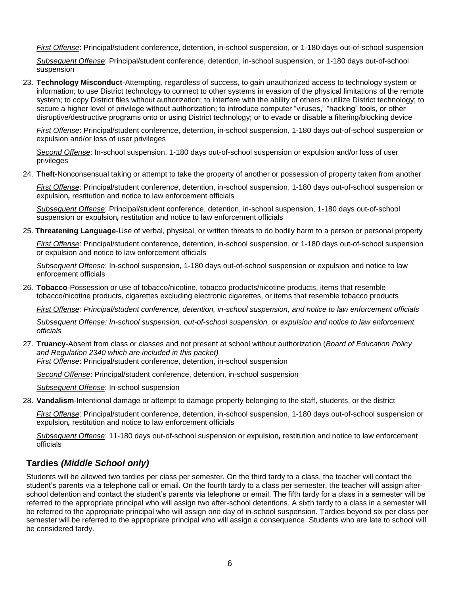*First Offense*: Principal/student conference, detention, in-school suspension, or 1-180 days out-of-school suspension

*Subsequent Offense*: Principal/student conference, detention, in-school suspension, or 1-180 days out-of-school suspension

23. **Technology Misconduct**-Attempting, regardless of success, to gain unauthorized access to technology system or information; to use District technology to connect to other systems in evasion of the physical limitations of the remote system; to copy District files without authorization; to interfere with the ability of others to utilize District technology; to secure a higher level of privilege without authorization; to introduce computer "viruses," "hacking" tools, or other disruptive/destructive programs onto or using District technology; or to evade or disable a filtering/blocking device

*First Offense*: Principal/student conference, detention, in-school suspension, 1-180 days out-of-school suspension or expulsion and/or loss of user privileges

*Second Offense*: In-school suspension, 1-180 days out-of-school suspension or expulsion and/or loss of user privileges

24. **Theft**-Nonconsensual taking or attempt to take the property of another or possession of property taken from another

*First Offense*: Principal/student conference, detention, in-school suspension, 1-180 days out-of-school suspension or expulsion*,* restitution and notice to law enforcement officials

*Subsequent Offense*: Principal/student conference, detention, in-school suspension, 1-180 days out-of-school suspension or expulsion*,* restitution and notice to law enforcement officials

25. **Threatening Language**-Use of verbal, physical, or written threats to do bodily harm to a person or personal property

*First Offense*: Principal/student conference, detention, in-school suspension, or 1-180 days out-of-school suspension or expulsion and notice to law enforcement officials

*Subsequent Offense*: In-school suspension, 1-180 days out-of-school suspension or expulsion and notice to law enforcement officials

26. **Tobacco**-Possession or use of tobacco/nicotine, tobacco products/nicotine products, items that resemble tobacco/nicotine products, cigarettes excluding electronic cigarettes, or items that resemble tobacco products

*First Offense: Principal/student conference, detention, in-school suspension, and notice to law enforcement officials*

*Subsequent Offense: In-school suspension, out-of-school suspension, or expulsion and notice to law enforcement officials*

27. **Truancy**-Absent from class or classes and not present at school without authorization (*Board of Education Policy and Regulation 2340 which are included in this packet)*

*First Offense*: Principal/student conference, detention, in-school suspension

*Second Offense*: Principal/student conference, detention, in-school suspension

*Subsequent Offense*: In-school suspension

28. **Vandalism**-Intentional damage or attempt to damage property belonging to the staff, students, or the district

*First Offense*: Principal/student conference, detention, in-school suspension, 1-180 days out-of-school suspension or expulsion*,* restitution and notice to law enforcement officials

*Subsequent Offense*: 11-180 days out-of-school suspension or expulsion*,* restitution and notice to law enforcement officials

## **Tardies** *(Middle School only)*

Students will be allowed two tardies per class per semester. On the third tardy to a class, the teacher will contact the student's parents via a telephone call or email. On the fourth tardy to a class per semester, the teacher will assign afterschool detention and contact the student's parents via telephone or email. The fifth tardy for a class in a semester will be referred to the appropriate principal who will assign two after-school detentions. A sixth tardy to a class in a semester will be referred to the appropriate principal who will assign one day of in-school suspension. Tardies beyond six per class per semester will be referred to the appropriate principal who will assign a consequence. Students who are late to school will be considered tardy.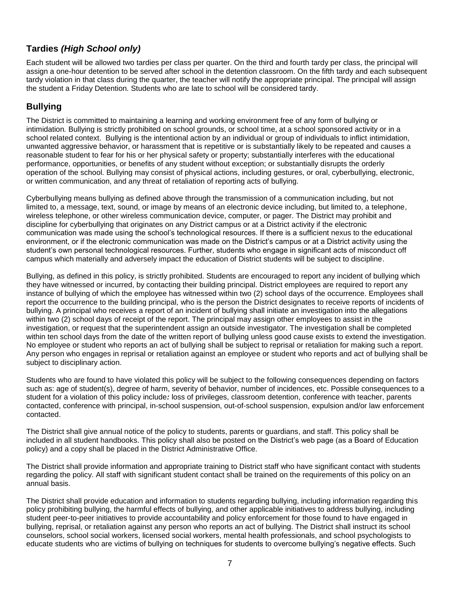# **Tardies** *(High School only)*

Each student will be allowed two tardies per class per quarter. On the third and fourth tardy per class, the principal will assign a one-hour detention to be served after school in the detention classroom. On the fifth tardy and each subsequent tardy violation in that class during the quarter, the teacher will notify the appropriate principal. The principal will assign the student a Friday Detention. Students who are late to school will be considered tardy.

# **Bullying**

The District is committed to maintaining a learning and working environment free of any form of bullying or intimidation*.* Bullying is strictly prohibited on school grounds, or school time, at a school sponsored activity or in a school related context. Bullying is the intentional action by an individual or group of individuals to inflict intimidation, unwanted aggressive behavior, or harassment that is repetitive or is substantially likely to be repeated and causes a reasonable student to fear for his or her physical safety or property; substantially interferes with the educational performance, opportunities, or benefits of any student without exception; or substantially disrupts the orderly operation of the school. Bullying may consist of physical actions, including gestures, or oral, cyberbullying, electronic, or written communication, and any threat of retaliation of reporting acts of bullying*.*

Cyberbullying means bullying as defined above through the transmission of a communication including, but not limited to, a message, text, sound, or image by means of an electronic device including, but limited to, a telephone, wireless telephone, or other wireless communication device, computer, or pager. The District may prohibit and discipline for cyberbullying that originates on any District campus or at a District activity if the electronic communication was made using the school's technological resources. If there is a sufficient nexus to the educational environment, or if the electronic communication was made on the District's campus or at a District activity using the student's own personal technological resources. Further, students who engage in significant acts of misconduct off campus which materially and adversely impact the education of District students will be subject to discipline.

Bullying, as defined in this policy, is strictly prohibited. Students are encouraged to report any incident of bullying which they have witnessed or incurred, by contacting their building principal. District employees are required to report any instance of bullying of which the employee has witnessed within two (2) school days of the occurrence. Employees shall report the occurrence to the building principal, who is the person the District designates to receive reports of incidents of bullying. A principal who receives a report of an incident of bullying shall initiate an investigation into the allegations within two (2) school days of receipt of the report. The principal may assign other employees to assist in the investigation, or request that the superintendent assign an outside investigator. The investigation shall be completed within ten school days from the date of the written report of bullying unless good cause exists to extend the investigation. No employee or student who reports an act of bullying shall be subject to reprisal or retaliation for making such a report. Any person who engages in reprisal or retaliation against an employee or student who reports and act of bullying shall be subject to disciplinary action.

Students who are found to have violated this policy will be subject to the following consequences depending on factors such as: age of student(s), degree of harm, severity of behavior, number of incidences, etc. Possible consequences to a student for a violation of this policy include*:* loss of privileges, classroom detention, conference with teacher, parents contacted, conference with principal, in-school suspension, out-of-school suspension, expulsion and/or law enforcement contacted.

The District shall give annual notice of the policy to students, parents or guardians, and staff. This policy shall be included in all student handbooks. This policy shall also be posted on the District's web page (as a Board of Education policy) and a copy shall be placed in the District Administrative Office.

The District shall provide information and appropriate training to District staff who have significant contact with students regarding the policy. All staff with significant student contact shall be trained on the requirements of this policy on an annual basis.

The District shall provide education and information to students regarding bullying, including information regarding this policy prohibiting bullying, the harmful effects of bullying, and other applicable initiatives to address bullying, including student peer-to-peer initiatives to provide accountability and policy enforcement for those found to have engaged in bullying, reprisal, or retaliation against any person who reports an act of bullying. The District shall instruct its school counselors, school social workers, licensed social workers, mental health professionals, and school psychologists to educate students who are victims of bullying on techniques for students to overcome bullying's negative effects. Such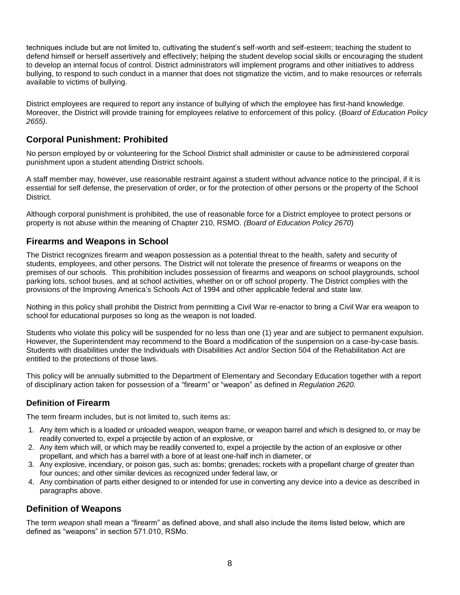techniques include but are not limited to, cultivating the student's self-worth and self-esteem; teaching the student to defend himself or herself assertively and effectively; helping the student develop social skills or encouraging the student to develop an internal focus of control. District administrators will implement programs and other initiatives to address bullying, to respond to such conduct in a manner that does not stigmatize the victim, and to make resources or referrals available to victims of bullying.

District employees are required to report any instance of bullying of which the employee has first-hand knowledge. Moreover, the District will provide training for employees relative to enforcement of this policy. (*Board of Education Policy 2655)*.

# **Corporal Punishment: Prohibited**

No person employed by or volunteering for the School District shall administer or cause to be administered corporal punishment upon a student attending District schools.

A staff member may, however, use reasonable restraint against a student without advance notice to the principal, if it is essential for self-defense, the preservation of order, or for the protection of other persons or the property of the School **District.** 

Although corporal punishment is prohibited, the use of reasonable force for a District employee to protect persons or property is not abuse within the meaning of Chapter 210, RSMO. *(Board of Education Policy 2670*)

## **Firearms and Weapons in School**

The District recognizes firearm and weapon possession as a potential threat to the health, safety and security of students, employees, and other persons. The District will not tolerate the presence of firearms or weapons on the premises of our schools. This prohibition includes possession of firearms and weapons on school playgrounds, school parking lots, school buses, and at school activities, whether on or off school property. The District complies with the provisions of the Improving America's Schools Act of 1994 and other applicable federal and state law.

Nothing in this policy shall prohibit the District from permitting a Civil War re-enactor to bring a Civil War era weapon to school for educational purposes so long as the weapon is not loaded.

Students who violate this policy will be suspended for no less than one (1) year and are subject to permanent expulsion. However, the Superintendent may recommend to the Board a modification of the suspension on a case-by-case basis. Students with disabilities under the Individuals with Disabilities Act and/or Section 504 of the Rehabilitation Act are entitled to the protections of those laws.

This policy will be annually submitted to the Department of Elementary and Secondary Education together with a report of disciplinary action taken for possession of a "firearm" or "weapon" as defined in *Regulation 2620.*

## **Definition of Firearm**

The term firearm includes, but is not limited to, such items as:

- 1. Any item which is a loaded or unloaded weapon, weapon frame, or weapon barrel and which is designed to, or may be readily converted to, expel a projectile by action of an explosive, or
- 2. Any item which will, or which may be readily converted to, expel a projectile by the action of an explosive or other propellant, and which has a barrel with a bore of at least one-half inch in diameter, or
- 3. Any explosive, incendiary, or poison gas, such as: bombs; grenades; rockets with a propellant charge of greater than four ounces; and other similar devices as recognized under federal law, or
- 4. Any combination of parts either designed to or intended for use in converting any device into a device as described in paragraphs above.

## **Definition of Weapons**

The term *weapon* shall mean a "firearm" as defined above, and shall also include the items listed below, which are defined as "weapons" in section 571.010, RSMo.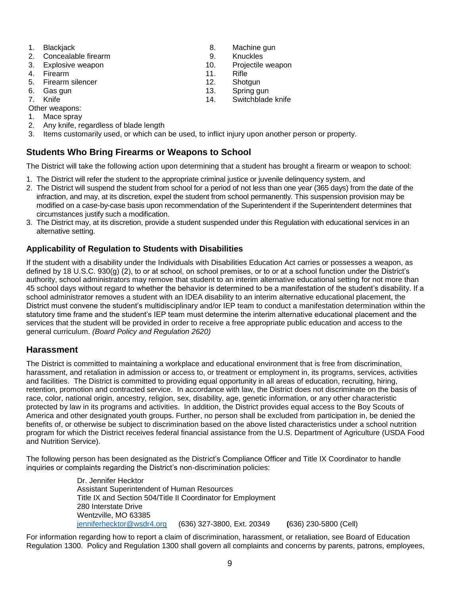- 
- 2. Concealable firearm 3. September 2. Concealable firearm 9. Knuckles
- 3. Explosive weapon 10. Projectile weapon
- 4. Firearm 11. Rifle
- 5. Firearm silencer 12. Shotgun
- 6. Gas gun 13. Spring gun
- 
- Other weapons:
- 1. Mace spray
- 2. Any knife, regardless of blade length
- 3. Items customarily used, or which can be used, to inflict injury upon another person or property.

## **Students Who Bring Firearms or Weapons to School**

The District will take the following action upon determining that a student has brought a firearm or weapon to school:

- 1. The District will refer the student to the appropriate criminal justice or juvenile delinquency system, and
- 2. The District will suspend the student from school for a period of not less than one year (365 days) from the date of the infraction, and may, at its discretion, expel the student from school permanently. This suspension provision may be modified on a case-by-case basis upon recommendation of the Superintendent if the Superintendent determines that circumstances justify such a modification.
- 3. The District may, at its discretion, provide a student suspended under this Regulation with educational services in an alternative setting.

#### **Applicability of Regulation to Students with Disabilities**

If the student with a disability under the Individuals with Disabilities Education Act carries or possesses a weapon, as defined by 18 U.S.C. 930(g) (2), to or at school, on school premises, or to or at a school function under the District's authority, school administrators may remove that student to an interim alternative educational setting for not more than 45 school days without regard to whether the behavior is determined to be a manifestation of the student's disability. If a school administrator removes a student with an IDEA disability to an interim alternative educational placement, the District must convene the student's multidisciplinary and/or IEP team to conduct a manifestation determination within the statutory time frame and the student's IEP team must determine the interim alternative educational placement and the services that the student will be provided in order to receive a free appropriate public education and access to the general curriculum. *(Board Policy and Regulation 2620)*

#### **Harassment**

The District is committed to maintaining a workplace and educational environment that is free from discrimination, harassment, and retaliation in admission or access to, or treatment or employment in, its programs, services, activities and facilities. The District is committed to providing equal opportunity in all areas of education, recruiting, hiring, retention, promotion and contracted service. In accordance with law, the District does not discriminate on the basis of race, color, national origin, ancestry, religion, sex, disability, age, genetic information, or any other characteristic protected by law in its programs and activities. In addition, the District provides equal access to the Boy Scouts of America and other designated youth groups. Further, no person shall be excluded from participation in, be denied the benefits of, or otherwise be subject to discrimination based on the above listed characteristics under a school nutrition program for which the District receives federal financial assistance from the U.S. Department of Agriculture (USDA Food and Nutrition Service).

The following person has been designated as the District's Compliance Officer and Title IX Coordinator to handle inquiries or complaints regarding the District's non-discrimination policies:

> Dr. Jennifer Hecktor Assistant Superintendent of Human Resources Title IX and Section 504/Title II Coordinator for Employment 280 Interstate Drive Wentzville, MO 63385 [jenniferhecktor@wsdr4.org](mailto:jenniferhecktor@wsdr4.org) (636) 327-3800, Ext. 20349 **(**636) 230-5800 (Cell)

For information regarding how to report a claim of discrimination, harassment, or retaliation, see Board of Education Regulation 1300. Policy and Regulation 1300 shall govern all complaints and concerns by parents, patrons, employees,

- 1. Blackiack 8. Machine gun
	-
	-
	-
	-
- 7. Knife 14. Switchblade knife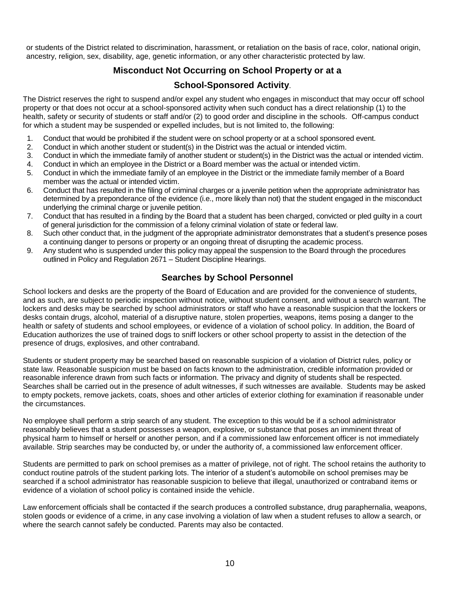or students of the District related to discrimination, harassment, or retaliation on the basis of race, color, national origin, ancestry, religion, sex, disability, age, genetic information, or any other characteristic protected by law.

# **Misconduct Not Occurring on School Property or at a**

### **School-Sponsored Activity**.

The District reserves the right to suspend and/or expel any student who engages in misconduct that may occur off school property or that does not occur at a school-sponsored activity when such conduct has a direct relationship (1) to the health, safety or security of students or staff and/or (2) to good order and discipline in the schools. Off-campus conduct for which a student may be suspended or expelled includes, but is not limited to, the following:

- 1. Conduct that would be prohibited if the student were on school property or at a school sponsored event.
- 2. Conduct in which another student or student(s) in the District was the actual or intended victim.
- 3. Conduct in which the immediate family of another student or student(s) in the District was the actual or intended victim.
- 4. Conduct in which an employee in the District or a Board member was the actual or intended victim.
- 5. Conduct in which the immediate family of an employee in the District or the immediate family member of a Board member was the actual or intended victim.
- 6. Conduct that has resulted in the filing of criminal charges or a juvenile petition when the appropriate administrator has determined by a preponderance of the evidence (i.e., more likely than not) that the student engaged in the misconduct underlying the criminal charge or juvenile petition.
- 7. Conduct that has resulted in a finding by the Board that a student has been charged, convicted or pled guilty in a court of general jurisdiction for the commission of a felony criminal violation of state or federal law.
- 8. Such other conduct that, in the judgment of the appropriate administrator demonstrates that a student's presence poses a continuing danger to persons or property or an ongoing threat of disrupting the academic process.
- 9. Any student who is suspended under this policy may appeal the suspension to the Board through the procedures outlined in Policy and Regulation 2671 – Student Discipline Hearings.

#### **Searches by School Personnel**

School lockers and desks are the property of the Board of Education and are provided for the convenience of students, and as such, are subject to periodic inspection without notice, without student consent, and without a search warrant. The lockers and desks may be searched by school administrators or staff who have a reasonable suspicion that the lockers or desks contain drugs, alcohol, material of a disruptive nature, stolen properties, weapons, items posing a danger to the health or safety of students and school employees, or evidence of a violation of school policy. In addition, the Board of Education authorizes the use of trained dogs to sniff lockers or other school property to assist in the detection of the presence of drugs, explosives, and other contraband.

Students or student property may be searched based on reasonable suspicion of a violation of District rules, policy or state law. Reasonable suspicion must be based on facts known to the administration, credible information provided or reasonable inference drawn from such facts or information. The privacy and dignity of students shall be respected. Searches shall be carried out in the presence of adult witnesses, if such witnesses are available. Students may be asked to empty pockets, remove jackets, coats, shoes and other articles of exterior clothing for examination if reasonable under the circumstances.

No employee shall perform a strip search of any student. The exception to this would be if a school administrator reasonably believes that a student possesses a weapon, explosive, or substance that poses an imminent threat of physical harm to himself or herself or another person, and if a commissioned law enforcement officer is not immediately available. Strip searches may be conducted by, or under the authority of, a commissioned law enforcement officer.

Students are permitted to park on school premises as a matter of privilege, not of right. The school retains the authority to conduct routine patrols of the student parking lots. The interior of a student's automobile on school premises may be searched if a school administrator has reasonable suspicion to believe that illegal, unauthorized or contraband items or evidence of a violation of school policy is contained inside the vehicle.

Law enforcement officials shall be contacted if the search produces a controlled substance, drug paraphernalia, weapons, stolen goods or evidence of a crime, in any case involving a violation of law when a student refuses to allow a search, or where the search cannot safely be conducted. Parents may also be contacted.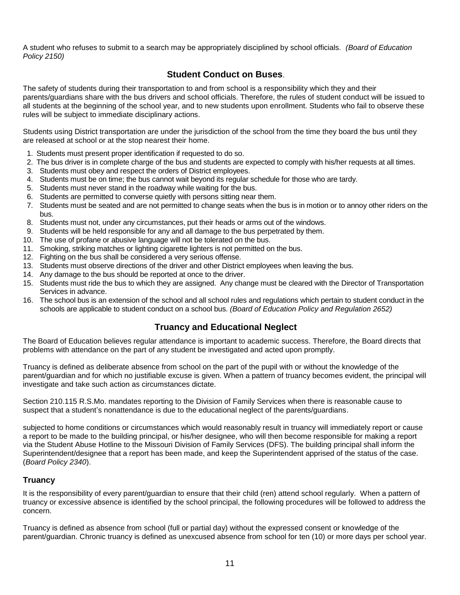A student who refuses to submit to a search may be appropriately disciplined by school officials.*(Board of Education Policy 2150)*

## **Student Conduct on Buses**.

The safety of students during their transportation to and from school is a responsibility which they and their parents/guardians share with the bus drivers and school officials. Therefore, the rules of student conduct will be issued to all students at the beginning of the school year, and to new students upon enrollment. Students who fail to observe these rules will be subject to immediate disciplinary actions.

Students using District transportation are under the jurisdiction of the school from the time they board the bus until they are released at school or at the stop nearest their home.

- 1. Students must present proper identification if requested to do so.
- 2. The bus driver is in complete charge of the bus and students are expected to comply with his/her requests at all times.
- 3. Students must obey and respect the orders of District employees.
- 4. Students must be on time; the bus cannot wait beyond its regular schedule for those who are tardy.
- 5. Students must never stand in the roadway while waiting for the bus.
- 6. Students are permitted to converse quietly with persons sitting near them.
- 7. Students must be seated and are not permitted to change seats when the bus is in motion or to annoy other riders on the bus.
- 8. Students must not, under any circumstances, put their heads or arms out of the windows.
- 9. Students will be held responsible for any and all damage to the bus perpetrated by them.
- 10. The use of profane or abusive language will not be tolerated on the bus.
- 11. Smoking, striking matches or lighting cigarette lighters is not permitted on the bus.
- 12. Fighting on the bus shall be considered a very serious offense.
- 13. Students must observe directions of the driver and other District employees when leaving the bus.
- 14. Any damage to the bus should be reported at once to the driver.
- 15. Students must ride the bus to which they are assigned. Any change must be cleared with the Director of Transportation Services in advance.
- 16. The school bus is an extension of the school and all school rules and regulations which pertain to student conduct in the schools are applicable to student conduct on a school bus. *(Board of Education Policy and Regulation 2652)*

## **Truancy and Educational Neglect**

The Board of Education believes regular attendance is important to academic success. Therefore, the Board directs that problems with attendance on the part of any student be investigated and acted upon promptly.

Truancy is defined as deliberate absence from school on the part of the pupil with or without the knowledge of the parent/guardian and for which no justifiable excuse is given. When a pattern of truancy becomes evident, the principal will investigate and take such action as circumstances dictate.

Section 210.115 R.S.Mo. mandates reporting to the Division of Family Services when there is reasonable cause to suspect that a student's nonattendance is due to the educational neglect of the parents/guardians.

subjected to home conditions or circumstances which would reasonably result in truancy will immediately report or cause a report to be made to the building principal, or his/her designee, who will then become responsible for making a report via the Student Abuse Hotline to the Missouri Division of Family Services (DFS). The building principal shall inform the Superintendent/designee that a report has been made, and keep the Superintendent apprised of the status of the case. (*Board Policy 2340*).

#### **Truancy**

It is the responsibility of every parent/guardian to ensure that their child (ren) attend school regularly. When a pattern of truancy or excessive absence is identified by the school principal, the following procedures will be followed to address the concern.

Truancy is defined as absence from school (full or partial day) without the expressed consent or knowledge of the parent/guardian. Chronic truancy is defined as unexcused absence from school for ten (10) or more days per school year.